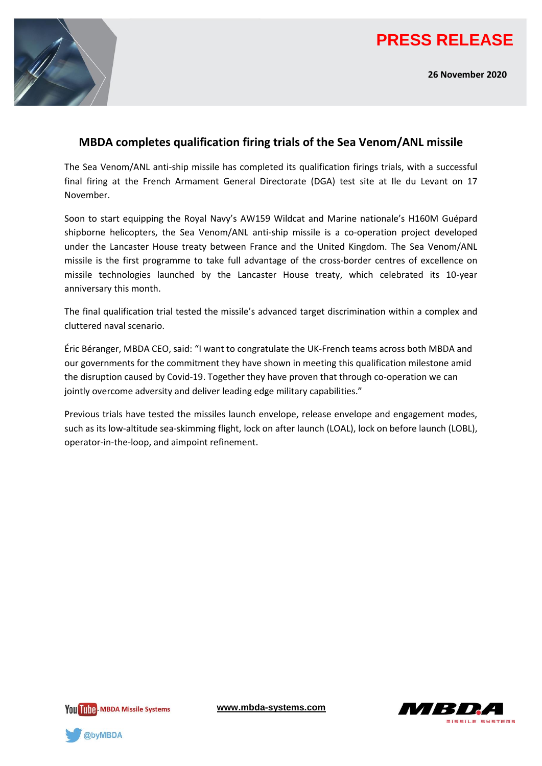

**26 November 2020**



## **MBDA completes qualification firing trials of the Sea Venom/ANL missile**

The Sea Venom/ANL anti-ship missile has completed its qualification firings trials, with a successful final firing at the French Armament General Directorate (DGA) test site at Ile du Levant on 17 November.

Soon to start equipping the Royal Navy's AW159 Wildcat and Marine nationale's H160M Guépard shipborne helicopters, the Sea Venom/ANL anti-ship missile is a co-operation project developed under the Lancaster House treaty between France and the United Kingdom. The Sea Venom/ANL missile is the first programme to take full advantage of the cross-border centres of excellence on missile technologies launched by the Lancaster House treaty, which celebrated its 10-year anniversary this month.

The final qualification trial tested the missile's advanced target discrimination within a complex and cluttered naval scenario.

Éric Béranger, MBDA CEO, said: "I want to congratulate the UK-French teams across both MBDA and our governments for the commitment they have shown in meeting this qualification milestone amid the disruption caused by Covid-19. Together they have proven that through co-operation we can jointly overcome adversity and deliver leading edge military capabilities."

Previous trials have tested the missiles launch envelope, release envelope and engagement modes, such as its low-altitude sea-skimming flight, lock on after launch (LOAL), lock on before launch (LOBL), operator-in-the-loop, and aimpoint refinement.



**[www.mbda-systems.com](http://www.mbda-systems.com/)**